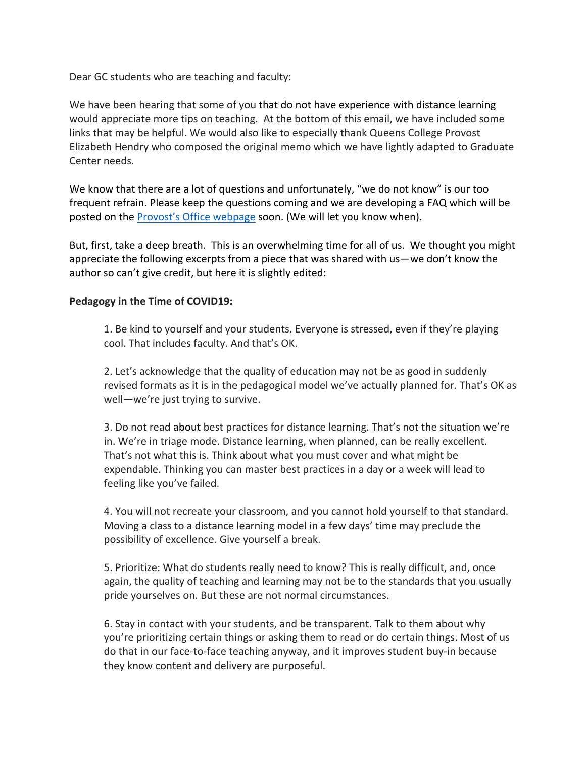Dear GC students who are teaching and faculty:

We have been hearing that some of you that do not have experience with distance learning would appreciate more tips on teaching. At the bottom of this email, we have included some links that may be helpful. We would also like to especially thank Queens College Provost Elizabeth Hendry who composed the original memo which we have lightly adapted to Graduate Center needs.

We know that there are a lot of questions and unfortunately, "we do not know" is our too frequent refrain. Please keep the questions coming and we are developing a FAQ which will be posted on the Provost's Office webpage soon. (We will let you know when).

But, first, take a deep breath. This is an overwhelming time for all of us. We thought you might appreciate the following excerpts from a piece that was shared with us—we don't know the author so can't give credit, but here it is slightly edited:

## **Pedagogy in the Time of COVID19:**

1. Be kind to yourself and your students. Everyone is stressed, even if they're playing cool. That includes faculty. And that's OK.

2. Let's acknowledge that the quality of education may not be as good in suddenly revised formats as it is in the pedagogical model we've actually planned for. That's OK as well-we're just trying to survive.

3. Do not read about best practices for distance learning. That's not the situation we're in. We're in triage mode. Distance learning, when planned, can be really excellent. That's not what this is. Think about what you must cover and what might be expendable. Thinking you can master best practices in a day or a week will lead to feeling like you've failed.

4. You will not recreate your classroom, and you cannot hold yourself to that standard. Moving a class to a distance learning model in a few days' time may preclude the possibility of excellence. Give yourself a break.

5. Prioritize: What do students really need to know? This is really difficult, and, once again, the quality of teaching and learning may not be to the standards that you usually pride yourselves on. But these are not normal circumstances.

6. Stay in contact with your students, and be transparent. Talk to them about why you're prioritizing certain things or asking them to read or do certain things. Most of us do that in our face-to-face teaching anyway, and it improves student buy-in because they know content and delivery are purposeful.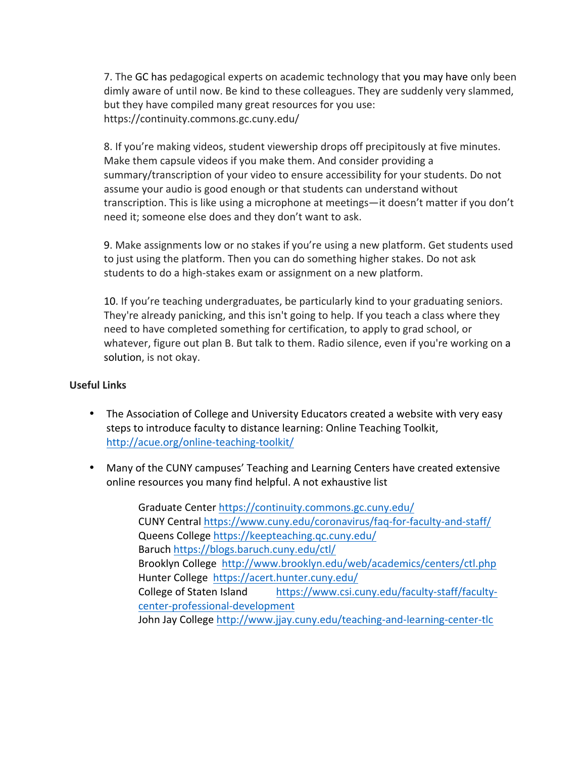7. The GC has pedagogical experts on academic technology that you may have only been dimly aware of until now. Be kind to these colleagues. They are suddenly very slammed, but they have compiled many great resources for you use: https://continuity.commons.gc.cuny.edu/

8. If you're making videos, student viewership drops off precipitously at five minutes. Make them capsule videos if you make them. And consider providing a summary/transcription of your video to ensure accessibility for your students. Do not assume your audio is good enough or that students can understand without transcription. This is like using a microphone at meetings—it doesn't matter if you don't need it; someone else does and they don't want to ask.

9. Make assignments low or no stakes if you're using a new platform. Get students used to just using the platform. Then you can do something higher stakes. Do not ask students to do a high-stakes exam or assignment on a new platform.

10. If you're teaching undergraduates, be particularly kind to your graduating seniors. They're already panicking, and this isn't going to help. If you teach a class where they need to have completed something for certification, to apply to grad school, or whatever, figure out plan B. But talk to them. Radio silence, even if you're working on a solution, is not okay.

## **Useful Links**

- The Association of College and University Educators created a website with very easy steps to introduce faculty to distance learning: Online Teaching Toolkit, http://acue.org/online-teaching-toolkit/
- Many of the CUNY campuses' Teaching and Learning Centers have created extensive online resources you many find helpful. A not exhaustive list

Graduate Center https://continuity.commons.gc.cuny.edu/ CUNY Central https://www.cuny.edu/coronavirus/faq-for-faculty-and-staff/ Queens College https://keepteaching.qc.cuny.edu/ Baruch https://blogs.baruch.cuny.edu/ctl/ Brooklyn College http://www.brooklyn.edu/web/academics/centers/ctl.php Hunter College https://acert.hunter.cuny.edu/ College of Staten Island https://www.csi.cuny.edu/faculty-staff/facultycenter-professional-development John Jay College http://www.jjay.cuny.edu/teaching-and-learning-center-tlc